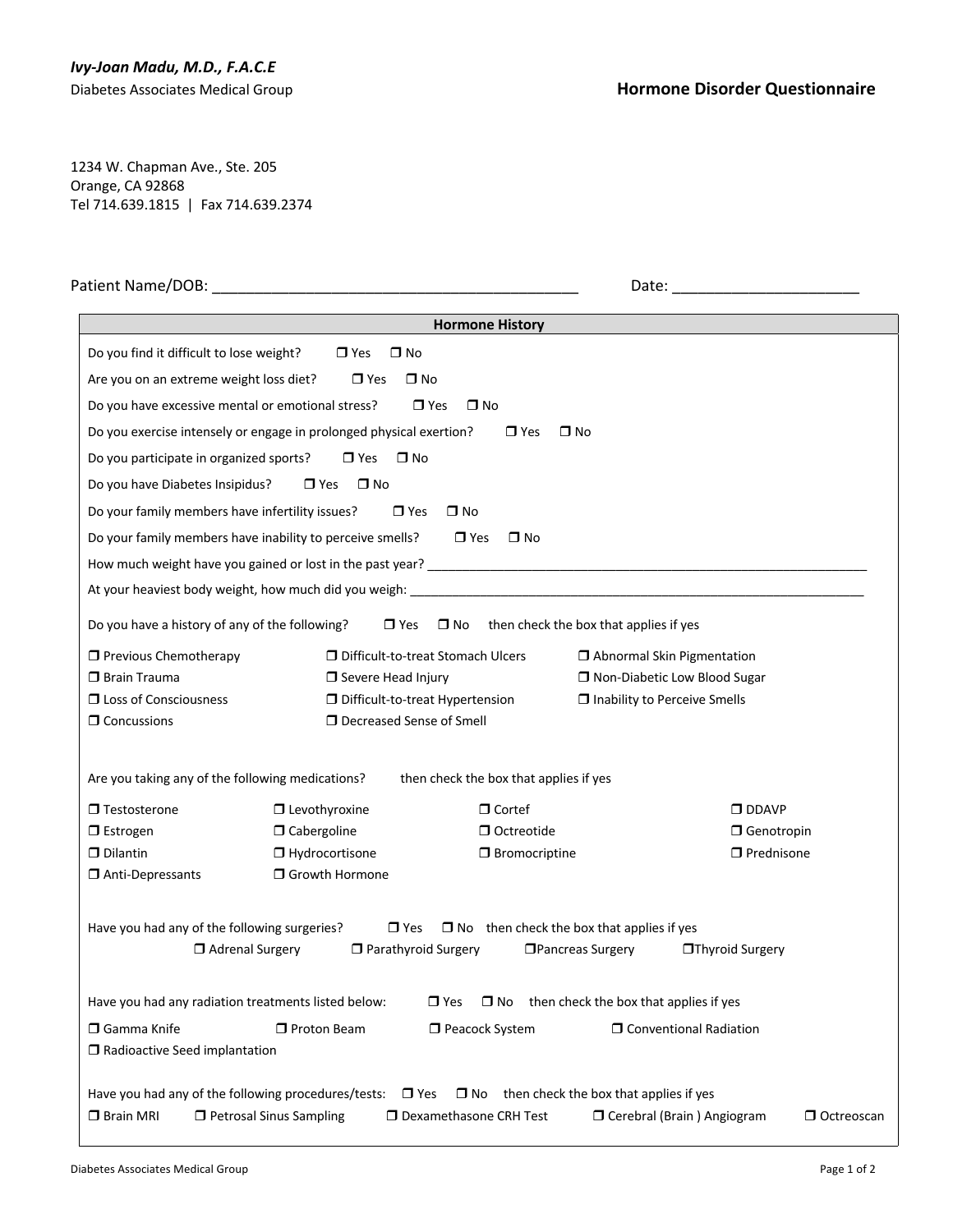## *Ivy-Joan Madu, M.D., F.A.C.E*

1234 W. Chapman Ave., Ste. 205 Orange, CA 92868 Tel 714.639.1815 | Fax 714.639.2374

| Patient Name/DOB: The contract of the contract of the contract of the contract of the contract of the contract of the contract of the contract of the contract of the contract of the contract of the contract of the contract |                                                                                                                |                                                                |                                                  |                                   |                   |  |
|--------------------------------------------------------------------------------------------------------------------------------------------------------------------------------------------------------------------------------|----------------------------------------------------------------------------------------------------------------|----------------------------------------------------------------|--------------------------------------------------|-----------------------------------|-------------------|--|
|                                                                                                                                                                                                                                |                                                                                                                | <b>Hormone History</b>                                         |                                                  |                                   |                   |  |
| Do you find it difficult to lose weight?                                                                                                                                                                                       | $\Box$ Yes                                                                                                     | $\square$ No                                                   |                                                  |                                   |                   |  |
| Are you on an extreme weight loss diet?                                                                                                                                                                                        | $\Box$ Yes                                                                                                     | $\square$ No                                                   |                                                  |                                   |                   |  |
| Do you have excessive mental or emotional stress?                                                                                                                                                                              |                                                                                                                | $\Box$ Yes<br>$\square$ No                                     |                                                  |                                   |                   |  |
|                                                                                                                                                                                                                                | Do you exercise intensely or engage in prolonged physical exertion?                                            | $\Box$ Yes                                                     | $\square$ No                                     |                                   |                   |  |
| Do you participate in organized sports?                                                                                                                                                                                        | $\Box$ Yes                                                                                                     | $\square$ No                                                   |                                                  |                                   |                   |  |
| Do you have Diabetes Insipidus?                                                                                                                                                                                                | $\Box$ Yes $\Box$ No                                                                                           |                                                                |                                                  |                                   |                   |  |
| Do your family members have infertility issues?                                                                                                                                                                                |                                                                                                                | $\Box$ Yes<br>$\square$ No                                     |                                                  |                                   |                   |  |
|                                                                                                                                                                                                                                | Do your family members have inability to perceive smells?                                                      | $\Box$ Yes<br>$\square$ No                                     |                                                  |                                   |                   |  |
|                                                                                                                                                                                                                                |                                                                                                                |                                                                |                                                  |                                   |                   |  |
|                                                                                                                                                                                                                                | At your heaviest body weight, how much did you weigh: At a state of the state of the state of the state of the |                                                                |                                                  |                                   |                   |  |
|                                                                                                                                                                                                                                |                                                                                                                |                                                                |                                                  |                                   |                   |  |
| Do you have a history of any of the following?                                                                                                                                                                                 |                                                                                                                | $\Box$ Yes $\Box$ No                                           | then check the box that applies if yes           |                                   |                   |  |
| <b>T</b> Previous Chemotherapy                                                                                                                                                                                                 |                                                                                                                | D Difficult-to-treat Stomach Ulcers                            |                                                  | $\Box$ Abnormal Skin Pigmentation |                   |  |
| $\Box$ Brain Trauma                                                                                                                                                                                                            | □ Non-Diabetic Low Blood Sugar<br>$\Box$ Severe Head Injury                                                    |                                                                |                                                  |                                   |                   |  |
| <b>I</b> Loss of Consciousness<br>$\Box$ Concussions                                                                                                                                                                           | □ Difficult-to-treat Hypertension<br>$\Box$ Inability to Perceive Smells<br>□ Decreased Sense of Smell         |                                                                |                                                  |                                   |                   |  |
|                                                                                                                                                                                                                                |                                                                                                                |                                                                |                                                  |                                   |                   |  |
| Are you taking any of the following medications?                                                                                                                                                                               |                                                                                                                | then check the box that applies if yes                         |                                                  |                                   |                   |  |
| $\Box$ Testosterone                                                                                                                                                                                                            |                                                                                                                |                                                                |                                                  |                                   |                   |  |
| $\Box$ Estrogen                                                                                                                                                                                                                | $\Box$ Levothyroxine<br>$\Box$ Cabergoline                                                                     | $\Box$ Cortef<br>$\Box$ Octreotide                             |                                                  | $\Box$ DDAVP<br>□ Genotropin      |                   |  |
| $\Box$ Dilantin                                                                                                                                                                                                                | $\Box$ Hydrocortisone                                                                                          | $\Box$ Bromocriptine                                           |                                                  | $\Box$ Prednisone                 |                   |  |
| Anti-Depressants                                                                                                                                                                                                               | □ Growth Hormone                                                                                               |                                                                |                                                  |                                   |                   |  |
|                                                                                                                                                                                                                                |                                                                                                                |                                                                |                                                  |                                   |                   |  |
| Have you had any of the following surgeries?                                                                                                                                                                                   |                                                                                                                | $\Box$ Yes<br>$\Box$ No then check the box that applies if yes |                                                  |                                   |                   |  |
|                                                                                                                                                                                                                                | Adrenal Surgery                                                                                                | □ Parathyroid Surgery                                          | □ Pancreas Surgery                               | □Thyroid Surgery                  |                   |  |
|                                                                                                                                                                                                                                |                                                                                                                |                                                                |                                                  |                                   |                   |  |
| Have you had any radiation treatments listed below:                                                                                                                                                                            |                                                                                                                | $\Box$ Yes                                                     | $\Box$ No then check the box that applies if yes |                                   |                   |  |
| $\Box$ Gamma Knife                                                                                                                                                                                                             | $\Box$ Proton Beam                                                                                             | Peacock System                                                 |                                                  | □ Conventional Radiation          |                   |  |
| $\Box$ Radioactive Seed implantation                                                                                                                                                                                           |                                                                                                                |                                                                |                                                  |                                   |                   |  |
|                                                                                                                                                                                                                                |                                                                                                                |                                                                |                                                  |                                   |                   |  |
| Have you had any of the following procedures/tests:<br>$\Box$ Brain MRI                                                                                                                                                        | □ Petrosal Sinus Sampling                                                                                      | $\square$ Yes<br>$\square$ No<br>D Dexamethasone CRH Test      | then check the box that applies if yes           | □ Cerebral (Brain) Angiogram      | $\Box$ Octreoscan |  |
|                                                                                                                                                                                                                                |                                                                                                                |                                                                |                                                  |                                   |                   |  |